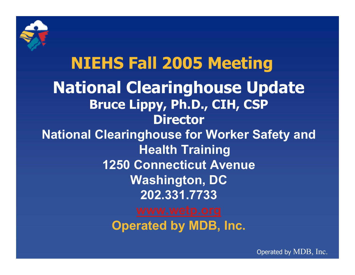

### NIEHS Fall 2005 Meeting National Clearinghouse Update Bruce Lippy, Ph.D., CIH, CSP Director National Clearinghouse for Worker Safety and Health Training 1250 Connecticut Avenue Washington, DC 202.331.7733Operated by MDB, Inc.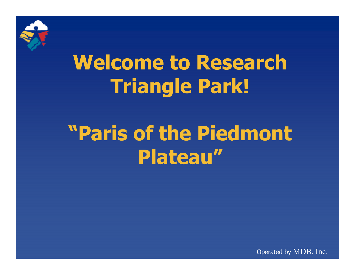

# Welcome to Research Triangle Park!

## "Paris of the Piedmont Plateau"

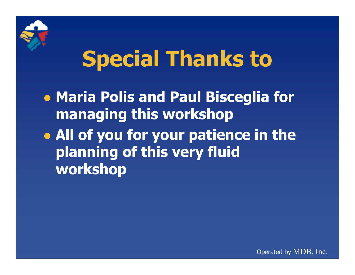

# Special Thanks to

� Maria Polis and Paul Bisceglia for • All of you for your patience in the managing this workshop planning of this very fluid workshop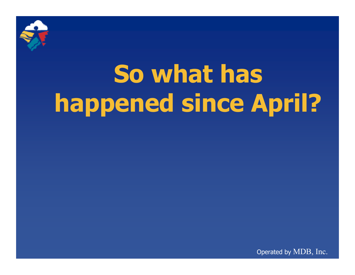

# So what has happened since April?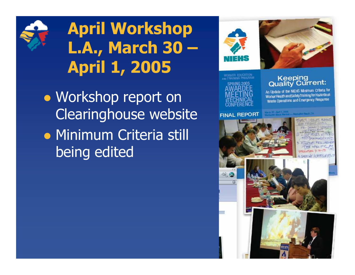

### April Workshop L.A., March 30 – April 1, 2005

� Workshop report on **• Minimum Criteria still** Clearinghouse website being edited

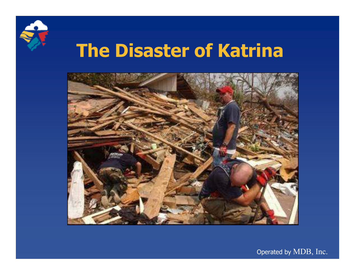

### The Disaster of Katrina

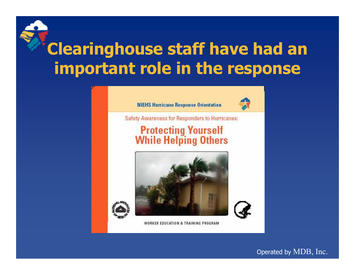### Clearinghouse staff have had an important role in the response



WORKER EDUCATION & TRAINING PROGRAM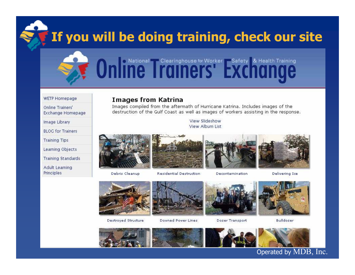#### If you will be doing training, check our site

# Inc Training Clearinghouse for Worker ESafety & Health Training

#### WETP Homepage

Online Trainers' Exchange Homepage

Image Library

**BLOG** for Trainers

**Training Tips** 

Learning Objects

**Training Standards** 

Adult Learning Principles

#### **Images from Katrina**

Images compiled from the aftermath of Hurricane Katrina. Includes images of the destruction of the Gulf Coast as well as images of workers assisting in the response.

> View Slideshow View Album List



Debris Cleanup

Residential Destruction

Decontamination



Delivering Ice



Destroyed Structure



Downed Power Lines



Dozer Transport



Bulldozer





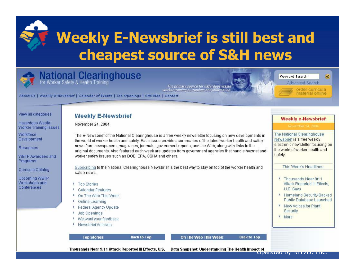



**National Clearinghouse**<br>for Worker Safety & Health Training





Keyword Search Advanced Search order curricula material online

Weekly e-Newsbrief

electronic newsletter focusing on

This Week's Headlines:

Attack Reported III Effects,

M Homeland Security-Backed

Public Database Launched

Thousands Near 9/11

New Voices for Plant

U.S. Says

Security

More:

the world of worker health and

The National Clearinghouse

Newsbrief is a free weekly

safety.

60

About Us | Weekly e-Newsbrief | Calendar of Events | Job Openings | Site Map | Contact

View all categories

Hazardous Waste Worker Training Issues

Workforce Development

Resources

WETP Awardees and Programs

Curricula Catalog

**Upcoming WETP** Workshops and Conferences

**Weekly E-Newsbrief** 

November 24, 2004

The E-Newsbrief of the National Clearinghouse is a free weekly newsletter focusing on new developments in the world of worker health and safety. Each issue provides summaries of the latest worker health and safety news from newspapers, magazines, journals, government reports, and the Web, along with links to the original documents. Also featured each week are updates from government agencies that handle hazmat and worker safety issues such as DOE, EPA, OSHA and others.

Subscribing to the National Clearinghouse Newsbrief is the best way to stay on top of the worker health and safety news.

- **Top Stories**
- Calendar Features
- ▶ On The Web This Week
- Online Learning
- Federal Agency Update
- Job Openings Þ.
- ▶ We want your feedback
- ▶ Newsbrief Archives



**Back to Top** 

On The Web This Week

**Back to Top** 

Thousands Near 9/11 Attack Reported III Effects, U.S. Data Snapshot: Understanding The Health Impact of Uper attention of National Snapshot: Uper attention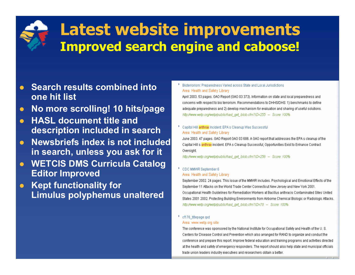

#### Latest website improvements Improved search engine and caboose!

- $\bullet$ Search results combined into one hit list
- $\bullet$ No more scrolling! 10 hits/page
- �HASL document title anddescription included in search
- �Newsbriefs index is not includedin search, unless you ask for it
- �WETCIS DMS Curricula Catalog Editor Improved
- �Kept functionality for Limulus polyphemus unaltered

#### Bioterrorism: Preparedness Varied across State and Local Jurisdictions Area: Health and Safety Library

April 2003, 53 pages, GAO Report (GAO 03 373), Information on state and local preparedness and concerns with respect to bio terrorism. Recommendations to DHHS/DHS: 1) benchmarks to define adequate preparedness and 2) develop mechanism for evaluation and sharing of useful solutions. http://www.wetp.org/wetp/public/hasl\_get\_blob.cfm?ID=255 - Score: 100%

#### Capitol Hill anthrax Incident: EPA s Cleanup Was Successful Area: Health and Safety Library

June 2003, 47 pages, GAO Report GAO 03 686, A GAO report that addresses the EPA sicleanup of the Capital Hill s anthrax incident. EPA s Cleanup Successful; Opportunities Exist to Enhance Contract Oversight.

http://www.wetp.org/wetp/public/hasl\_get\_blob.cfm?ID=256 - Score: 100%

#### CDC MMWR September 6 Area: Health and Safety Library

September 2002, 24 pages. This issue of the MMWR includes. Psychological and Emotional Effects of the September 11 Attacks on the World Trade Center Connecticut New Jersey and New York 2001. Occupational Health Guidelines for Remediation Workers at Bacillus anthracis Contaminated Sites United States 2001 2002. Protecting Building Environments from Airborne Chemical Biologic or Radiologic Attacks. http://www.wetp.org/wetp/public/hasl\_get\_blob.cfm?ID=78 - Score: 100%

#### cf176 titlepage.gxd Area: www.wetp.org site

The conference was sponsored by the National Institute for Occupational Safety and Health of the U.S. Centers for Disease Control and Prevention which also arranged for RAND to organize and conduct the conference and prepare this report. Improve federal education and training programs and activities directed at the health and safety of emergency responders. The report should also help state and municipal officials trade union leaders industry executives and researchers obtain a better.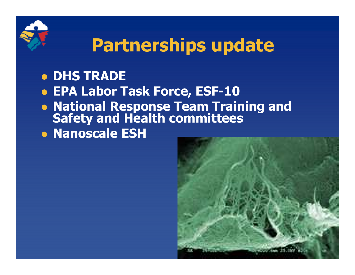

## Partnerships update

#### �DHS TRADE

• EPA Labor Task Force, ESF-10

 $\bullet$ **• Nanoscale ESH** National Response Team Training and<br>Safety and Health committees

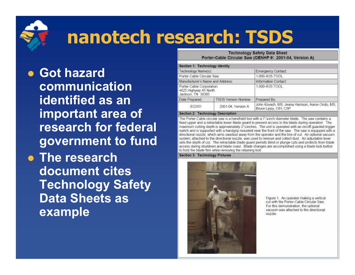

## nanotech research: TSDS

 $\bullet$ Got hazard communication identified as an important area of research for federal government to fund

 $\bullet$  The research document cites Technology Safety Data Sheets as example

| Section 1: Technology Identity                                         |                            |                                                                                                 |
|------------------------------------------------------------------------|----------------------------|-------------------------------------------------------------------------------------------------|
| Technology Name(s):                                                    |                            | Emergency Contact:                                                                              |
| Porter-Cable Circular Saw                                              |                            | 1-800-4US-TOOL                                                                                  |
| Manufacturer's Name and Address:                                       |                            | Information Contact:                                                                            |
| Porter-Cable Corporation<br>4825 Highway 45 North<br>Jackson, TN 38305 |                            | 1-800-4US-TOOL<br>년 2009년 - 2009년 2019년 1월 20일 20일                                              |
| Date Prepared:                                                         | <b>TSDS Version Number</b> | Prepared By:<br>a production of the contract of the contract of the contract of the contract of |
| 8/23/01                                                                | 2001-04, Version A         | John Kovach, MS; Jeana Harrison; Aaron Ondo, MS;<br>Bruce Lippy, CIH, CSP                       |

**Technology Safety Data Sheet** 

#### Section 2: Technology Description

The Porter-Cable circular saw is a handheld tool with a 7 % nch diameter blade. The saw contains a fixed upper and a retractable lower blade quard to prevent access to the blade during operation. The maximum cutting depth is approximately 2%inches. The unit is operated with an on/off quarded trigger switch and is supported with a handgrip mounted near the front of the saw. The saw is equipped with a directional nozzle, which aims sawdust away from the operator and the line of cut. An optional vacuum system, attached to the directional nozzle, was used to remove and collect dust. An adjustable lever sets the depth of cut. The retractable blade quard permits blind or plunge cuts and protects from blade access during shutdown and blade coast. Blade changes are accomplished using a blade lock button to hold the blade firm while removing the retaining bolt.

Section 3: Technology Pictures



Figure 1. An operator making a vertical cut with the Porter-Cable Circular Saw For this demonstration, the optional vacuum was attached to the directional nozzie.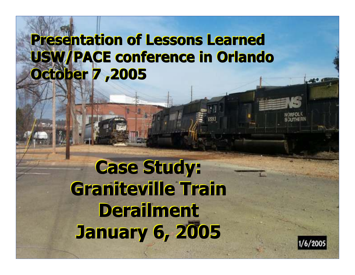### Presentation of Lessons Learned USW/PACE conference in Orlando October <sup>7</sup> ,<sup>2005</sup>

Case Study: Graniteville TrainDerailmentJanuary 6, <sup>2005</sup>

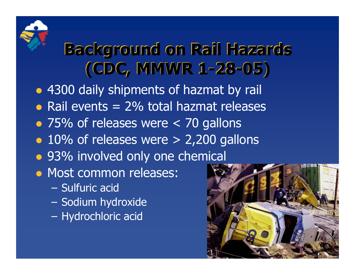

# Background on Rail Hazards (CDC, MMWR 1-28-05)

• 4300 daily shipments of hazmat by rail

- $\bullet$  Rail events = 2% total hazmat releases
- 75% of releases were < 70 gallons
- 10% of releases were > 2,200 gallons
- 93% involved only one chemical
- Most common releases:
	- Sulfuric acid<br>Sodium byd
	- Sodium hydroxide<br>Hydrochloric acid
	- $\mathcal{L}_{\mathcal{A}}$ Hydrochloric acid

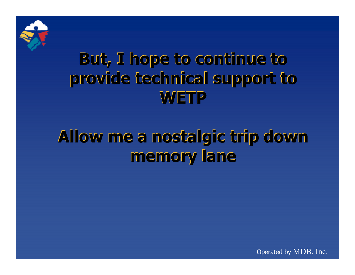

### But, <sup>I</sup> hope to continue to provide technical support to**WETP**

## Allow me <sup>a</sup> nostalgic trip down memory lane

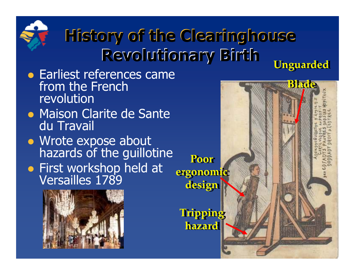#### **Unguarded** History of the ClearinghouseRevolutionary Birth

- **Earliest references came** from the French revolution
- **Maison Clarite de Sante<br>du Travail** du Travail
- Wrote expose about hazards of the guillotine
- **•** First workshop held at Versailles 1789



Operated by MDB, Inc.Blade**Tripping** hazardPoor ergonomic design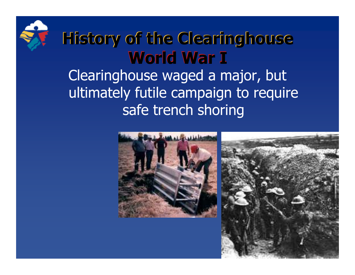

### History of the Clearinghouse World War <sup>I</sup> Clearinghouse waged a major, but ultimately futile campaign to require safe trench shoring



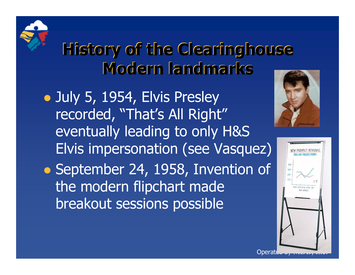

## History of the Clearinghouse Modern landmarks

- $\bullet$ July 5, 1954, Elvis Presley recorded, "That's All Right" eventually leading to only H&S Elvis impersonation (see Vasquez)
- $\bullet$ September 24, 1958, Invention of the modern flipchart made breakout sessions possible



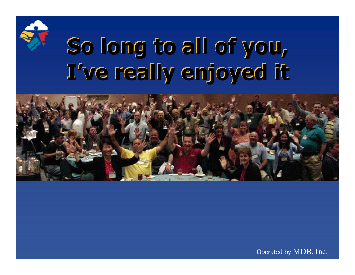

# So long to all of you, I've really enjoyed it

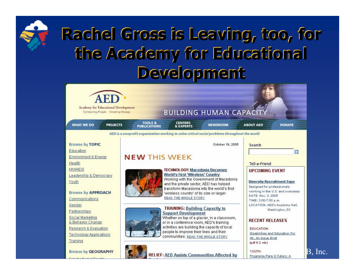

| Academy for Educational Development<br>Connecting People Creating Change                                                                                 | <b>BUILDING HUMAN CAPACIT</b>                                                                                                                                                                                                                                                                   |                                                                                                                                                                            |
|----------------------------------------------------------------------------------------------------------------------------------------------------------|-------------------------------------------------------------------------------------------------------------------------------------------------------------------------------------------------------------------------------------------------------------------------------------------------|----------------------------------------------------------------------------------------------------------------------------------------------------------------------------|
| <b>WHAT WE DO</b><br><b>PROJECTS</b>                                                                                                                     | <b>TOOLS &amp;</b><br><b>CENTERS</b><br><b>NEWSROOM</b><br><b>PUBLICATIONS</b><br><b>&amp; EXPERTS</b>                                                                                                                                                                                          | <b>DONATE</b><br><b>ABOUT AED</b>                                                                                                                                          |
|                                                                                                                                                          | AED is a nonprofit organization working to solve critical social problems throughout the world                                                                                                                                                                                                  |                                                                                                                                                                            |
| <b>Browse by TOPIC</b><br>Education<br><b>Environment &amp; Energy</b><br>Health                                                                         | October 19, 2005<br><b>NEW THIS WEEK</b>                                                                                                                                                                                                                                                        | Search<br>E<br>Tell-a-Friend                                                                                                                                               |
| <b>HIV/AIDS</b><br>Leadership & Democracy<br>Youth<br><b>Browse by APPROACH</b><br>Communications                                                        | <b>TECHNOLOGY: Macedonia Becomes</b><br>World's First 'Wireless' Country<br>Working with the Government of Macedonia<br>and the private sector, AED has helped<br>transform Macedonia into the world's first<br>'wireless country' of its size or larger.<br>READ THE WHOLE STORY               | <b>UPCOMING EVENT</b><br><b>Diverstiv Recruitment Expo</b><br>Designed for professionals<br>working in the U.S. and overseas<br>DATE: Nov. 3, 2005<br>TIME: 3:00-7:00 p.m. |
| Gender<br>Partnerships<br><b>Social Marketing</b><br>& Behavior Change<br><b>Research &amp; Evaluation</b><br><b>Technology Applications</b><br>Training | <b>TRAINING: Building Capacity to</b><br><b>Support Development</b><br>Whether on top of a glacier, in a classroom,<br>or in a conference room, AED's training<br>activities are building the capacity of local<br>people to improve their lives and their<br>COMMUNITIES, READ THE WHOLE STORY | LOCATION: AED's Academy Hall,<br>Washington, DC<br><b>RECENT RELEASES</b><br>EDUCATION:<br>Disabilities and Education For<br>All, An Issue Brief                           |
| <b>Browse by GEOGRAPHY</b><br>the control of the control of the control of the control of the control of the control of the control of the control of    | <b>RELIEF: AED Assists Communities Affected by</b>                                                                                                                                                                                                                                              | (pdf 6.2 mb)<br>YOUTH:<br>Programa Para O Futuro: A                                                                                                                        |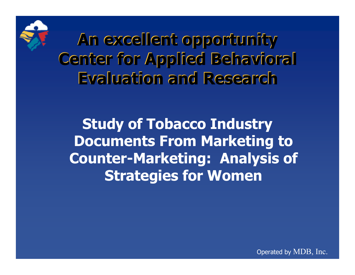

An excellent opportunity Center for Applied Behavioral Evaluation and Research

Study of Tobacco Industry Documents From Marketing to Counter-Marketing: Analysis of Strategies for Women